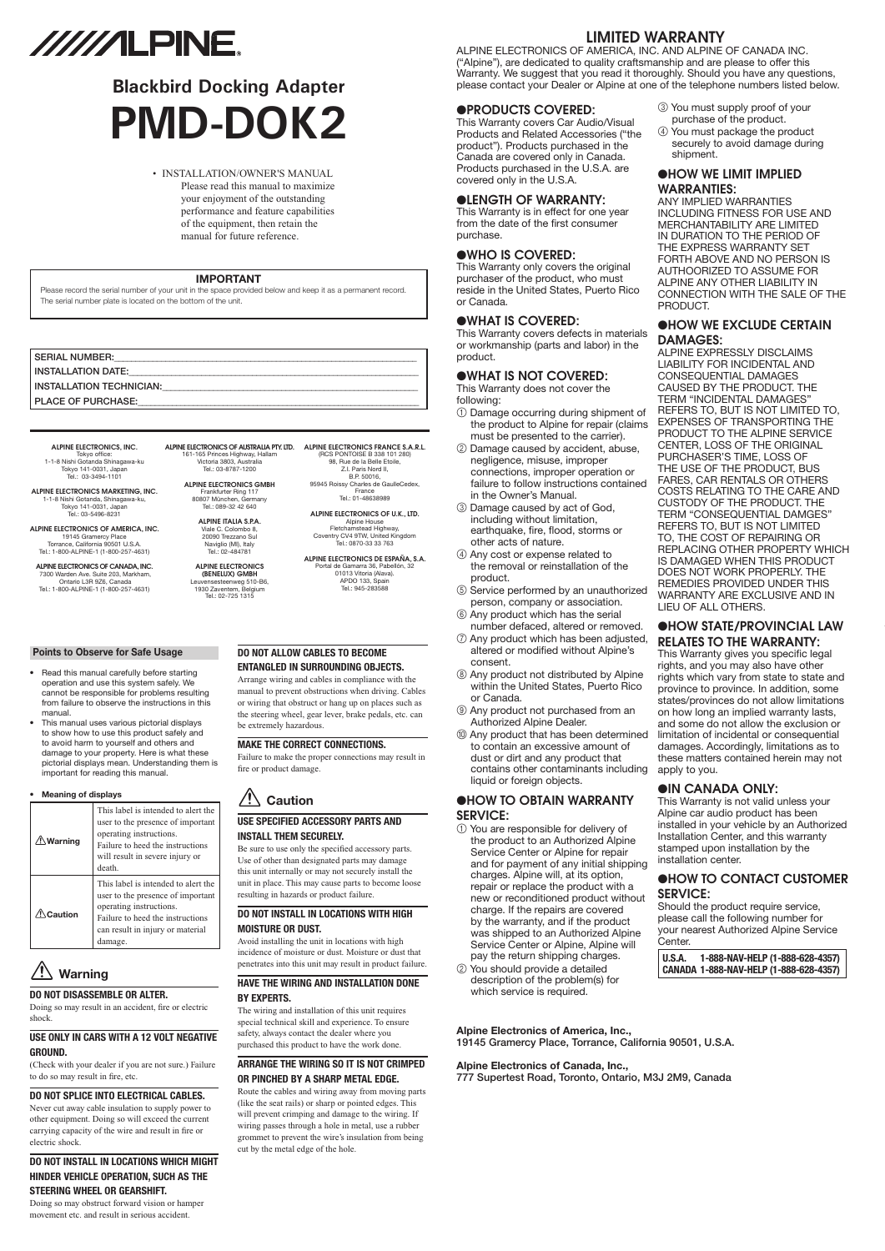# //////LPINE.

# **Blackbird Docking Adapter PMD-DOK2**

#### • INSTALLATION/OWNER'S MANUAL

Please read this manual to maximize your enjoyment of the outstanding performance and feature capabilities of the equipment, then retain the manual for future reference.

#### **IMPORTANT**

Please record the serial number of your unit in the space provided below and keep it as a permanent record. The serial number plate is located on the bottom of the unit.

| <b>SERIAL NUMBER:</b>           |
|---------------------------------|
| INSTALLATION DATE:              |
| <b>INSTALLATION TECHNICIAN:</b> |
| <b>PLACE OF PURCHASE:</b>       |

#### ALPINE ELECTRONICS OF AUSTRALIA PTY. LTD. ALPINE ELECTRONICS FRANCE S.A.R.L. 161-165 Princes Highway, Hallam Victoria 3803, Australia Tel.: 03-8787-1200 ALPINE ELECTRONICS GMBH

#### ALPINE ELECTRONICS, INC. Tokyo office: 1-1-8 Nishi Gotanda Shinagawa-ku Tokyo 141-0031, Japan Tel.: 03-3494-1101

ALPINE ELECTRONICS MARKETING, INC. 1-1-8 Nishi Gotanda, Shinagawa-ku, Tokyo 141-0031, Japan Tel.: 03-5496-8231

ALPINE ELECTRONICS OF AMERICA, INC. 19145 Gramercy Place Torrance, California 90501 U.S.A. Tel.: 1-800-ALPINE-1 (1-800-257-4631)

ALPINE ELECTRONICS OF CANADA, INC. 7300 Warden Ave. Suite 203, Markham, Ontario L3R 9Z6, Canada Tel.: 1-800-ALPINE-1 (1-800-257-4631)

Frankfurter Ring 117 80807 München, Germany Tel.: 089-32 42 640

ALPINE ITALIA S.p.A. Viale C. Colombo 8, 20090 Trezzano Sul Naviglio (MI), Italy Tel.: 02-484781

### ALPINE ELECTRONICS (BENELUX) GmbH Leuvensesteenweg 510-B6, 1930 Zaventem, Belgium Tel.: 02-725 1315

(RCS PONTOISE B 338 101 280) 98, Rue de la Belle Etoile, Z.I. Paris Nord II, B.P. 50016, 95945 Roissy Charles de GaulleCedex, France Tel.: 01-48638989 ALPINE ELECTRONICS OF U.K., LTD. Alpine House Fletchamstead Highway, Coventry CV4 9TW, United Kingdom Tel.: 0870-33 33 763 ALPINE ELECTRONICS DE ESPAÑA, S.A. Portal de Gamarra 36, Pabellón, 32 01013 Vitoria (Alava). APDO 133, Spain Tel.: 945-283588

#### **Points to Observe for Safe Usage**

- Read this manual carefully before starting operation and use this system safely. We cannot be responsible for problems resulting from failure to observe the instructions in this manual.
- This manual uses various pictorial displays to show how to use this product safely and to avoid harm to yourself and others and damage to your property. Here is what these pictorial displays mean. Understanding them is important for reading this manual.

#### **• Meaning of displays**

| $\mathbf{\mathfrak{D}}$ Warning | This label is intended to alert the<br>user to the presence of important<br>operating instructions.<br>Failure to heed the instructions<br>will result in severe injury or<br>death.   |
|---------------------------------|----------------------------------------------------------------------------------------------------------------------------------------------------------------------------------------|
| Caution                         | This label is intended to alert the<br>user to the presence of important<br>operating instructions.<br>Failure to heed the instructions<br>can result in injury or material<br>damage. |

### **Warning**

#### **DO NOT DISASSEMBLE OR ALTER.**

Doing so may result in an accident, fire or electric shock.

#### **USE ONLY IN CARS WITH A 12 VOLT NEGATIVE GROUND.**

(Check with your dealer if you are not sure.) Failure to do so may result in fire, etc.

#### **DO NOT SPLICE INTO ELECTRICAL CABLES.**

Never cut away cable insulation to supply power to other equipment. Doing so will exceed the current carrying capacity of the wire and result in fire or electric shock.

#### **DO NOT INSTALL IN LOCATIONS WHICH MIGHT HINDER VEHICLE OPERATION, SUCH AS THE STEERING WHEEL OR GEARSHIFT.**

Doing so may obstruct forward vision or hamper movement etc. and result in serious accident.

#### **DO NOT ALLOW CABLES TO BECOME ENTANGLED IN SURROUNDING OBJECTS.**

Arrange wiring and cables in compliance with the manual to prevent obstructions when driving. Cables or wiring that obstruct or hang up on places such as the steering wheel, gear lever, brake pedals, etc. can be extremely hazardous.

#### **MAKE THE CORRECT CONNECTIONS.**

Failure to make the proper connections may result in fire or product damage.

#### **Caution**

#### **USE SPECIFIED ACCESSORY PARTS AND INSTALL THEM SECURELY.**

Be sure to use only the specified accessory parts. Use of other than designated parts may damage this unit internally or may not securely install the unit in place. This may cause parts to become loose resulting in hazards or product failure.

## **DO NOT INSTALL IN LOCATIONS WITH HIGH**

**MOISTURE OR DUST.** Avoid installing the unit in locations with high incidence of moisture or dust. Moisture or dust that penetrates into this unit may result in product failure.

#### **HAVE THE WIRING AND INSTALLATION DONE BY EXPERTS.**

The wiring and installation of this unit requires special technical skill and experience. To ensure safety, always contact the dealer where you purchased this product to have the work done.

#### **ARRANGE THE WIRING SO IT IS NOT CRIMPED OR PINCHED BY A SHARP METAL EDGE.**

Route the cables and wiring away from moving parts (like the seat rails) or sharp or pointed edges. This will prevent crimping and damage to the wiring. If wiring passes through a hole in metal, use a rubber grommet to prevent the wire's insulation from being cut by the metal edge of the hole.

#### LIMITED WARRANTY

ALPINE ELECTRONICS OF AMERICA, INC. AND ALPINE OF CANADA INC. ("Alpine"), are dedicated to quality craftsmanship and are please to offer this Warranty. We suggest that you read it thoroughly. Should you have any questions, please contact your Dealer or Alpine at one of the telephone numbers listed below.

#### ●PRODUCTS COVERED:

This Warranty covers Car Audio/Visual Products and Related Accessories ("the product"). Products purchased in the Canada are covered only in Canada. Products purchased in the U.S.A. are covered only in the U.S.A.

#### ●LENGTH OF WARRANTY:

This Warranty is in effect for one year from the date of the first consumer purchase.

#### ●WHO IS COVERED:

This Warranty only covers the original purchaser of the product, who must reside in the United States, Puerto Rico or Canada.

#### ●WHAT IS COVERED:

This Warranty covers defects in materials or workmanship (parts and labor) in the product.

#### ●WHAT IS NOT COVERED:

This Warranty does not cover the following:

- 1 Damage occurring during shipment of the product to Alpine for repair (claims must be presented to the carrier).
- 2 Damage caused by accident, abuse, negligence, misuse, improper connections, improper operation or failure to follow instructions contained in the Owner's Manual.
- 3 Damage caused by act of God, including without limitation, earthquake, fire, flood, storms or other acts of nature.
- 4 Any cost or expense related to the removal or reinstallation of the product.
- 5 Service performed by an unauthorized person, company or association.
- 6 Any product which has the serial number defaced, altered or removed.
- 7 Any product which has been adjusted, altered or modified without Alpine's consent.
- 8 Any product not distributed by Alpine within the United States, Puerto Rico or Canada.
- 9 Any product not purchased from an Authorized Alpine Dealer.
- 0 Any product that has been determined to contain an excessive amount of dust or dirt and any product that contains other contaminants including liquid or foreign objects.

#### ●HOW TO OBTAIN WARRANTY SERVICE:

1 You are responsible for delivery of the product to an Authorized Alpine Service Center or Alpine for repair and for payment of any initial shipping charges. Alpine will, at its option, repair or replace the product with a new or reconditioned product without charge. If the repairs are covered by the warranty, and if the product was shipped to an Authorized Alpine Service Center or Alpine, Alpine will pay the return shipping charges. 2 You should provide a detailed description of the problem(s) for which service is required.

- 3 You must supply proof of your purchase of the product.
- 4 You must package the product securely to avoid damage during shipment.

#### ●HOW WE LIMIT IMPLIED WARRANTIES:

ANY IMPLIED WARRANTIES INCLUDING FITNESS FOR USE AND MERCHANTABILITY ARE LIMITED IN DURATION TO THE PERIOD OF THE EXPRESS WARRANTY SET FORTH ABOVE AND NO PERSON IS AUTHOORIZED TO ASSUME FOR ALPINE ANY OTHER LIABILITY IN CONNECTION WITH THE SALE OF THE PRODUCT.

#### ●HOW WE EXCLUDE CERTAIN DAMAGES:

ALPINE EXPRESSLY DISCLAIMS LIABILITY FOR INCIDENTAL AND CONSEQUENTIAL DAMAGES CAUSED BY THE PRODUCT. THE TERM "INCIDENTAL DAMAGES" REFERS TO, BUT IS NOT LIMITED TO, EXPENSES OF TRANSPORTING THE PRODUCT TO THE ALPINE SERVICE CENTER, LOSS OF THE ORIGINAL PURCHASER'S TIME, LOSS OF THE USE OF THE PRODUCT, BUS FARES, CAR RENTALS OR OTHERS COSTS RELATING TO THE CARE AND CUSTODY OF THE PRODUCT. THE TERM "CONSEQUENTIAL DAMGES" REFERS TO, BUT IS NOT LIMITED TO, THE COST OF REPAIRING OR REPLACING OTHER PROPERTY WHICH IS DAMAGED WHEN THIS PRODUCT DOES NOT WORK PROPERLY. THE REMEDIES PROVIDED UNDER THIS WARRANTY ARE EXCLUSIVE AND IN LIEU OF ALL OTHERS.

#### ●HOW STATE/PROVINCIAL LAW RELATES TO THE WARRANTY:

This Warranty gives you specific legal rights, and you may also have other rights which vary from state to state and province to province. In addition, some states/provinces do not allow limitations on how long an implied warranty lasts, and some do not allow the exclusion or limitation of incidental or consequential damages. Accordingly, limitations as to these matters contained herein may not apply to you.

#### ●IN CANADA ONLY:

This Warranty is not valid unless your Alpine car audio product has been installed in your vehicle by an Authorized Installation Center, and this warranty stamped upon installation by the installation center.

#### ●HOW TO CONTACT CUSTOMER SERVICE:

Should the product require service, please call the following number for your nearest Authorized Alpine Service Center.

#### **U.S.A. 1-888-NAV-HELP (1-888-628-4357) CANADA 1-888-NAV-HELP (1-888-628-4357)**

#### **Alpine Electronics of America, Inc.,**

19145 Gramercy Place, Torrance, California 90501, U.S.A.

#### **Alpine Electronics of Canada, Inc.,** 777 Supertest Road, Toronto, Ontario, M3J 2M9, Canada